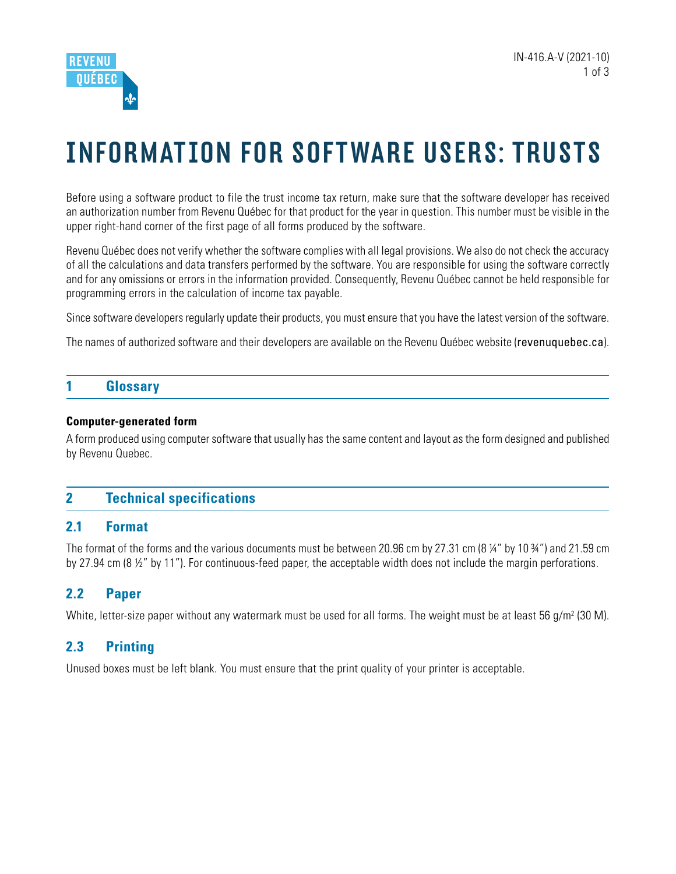

# INFORMATION FOR SOFTWARE USERS: TRUSTS

Before using a software product to file the trust income tax return, make sure that the software developer has received an authorization number from Revenu Québec for that product for the year in question. This number must be visible in the upper right-hand corner of the first page of all forms produced by the software.

Revenu Québec does not verify whether the software complies with all legal provisions. We also do not check the accuracy of all the calculations and data transfers performed by the software. You are responsible for using the software correctly and for any omissions or errors in the information provided. Consequently, Revenu Québec cannot be held responsible for programming errors in the calculation of income tax payable.

Since software developers regularly update their products, you must ensure that you have the latest version of the software.

The names of authorized software and their developers are available on the Revenu Québec website ([revenuquebec.ca](https://www.revenuquebec.ca/en)).

## **1 Glossary**

#### **Computer-generated form**

A form produced using computer software that usually has the same content and layout as the form designed and published by Revenu Quebec.

## **2 Technical specifications**

#### **2.1 Format**

The format of the forms and the various documents must be between 20.96 cm by 27.31 cm (8 ¼" by 10 ¾") and 21.59 cm by 27.94 cm (8 ½" by 11"). For continuous-feed paper, the acceptable width does not include the margin perforations.

## **2.2 Paper**

White, letter-size paper without any watermark must be used for all forms. The weight must be at least 56 g/m<sup>2</sup> (30 M).

## **2.3 Printing**

Unused boxes must be left blank. You must ensure that the print quality of your printer is acceptable.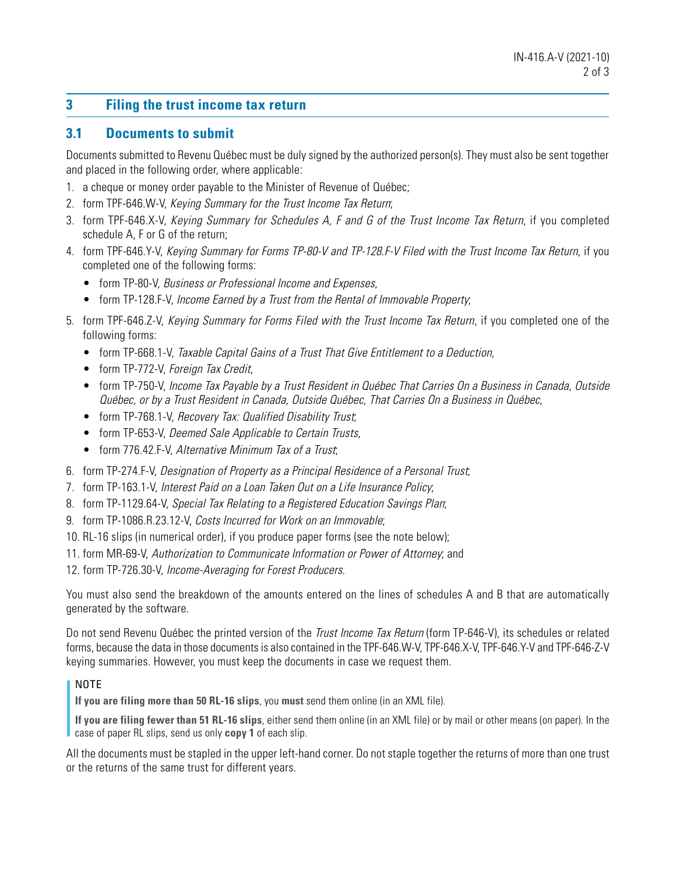# **3 Filing the trust income tax return**

#### **3.1 Documents to submit**

Documents submitted to Revenu Québec must be duly signed by the authorized person(s). They must also be sent together and placed in the following order, where applicable:

- 1. a cheque or money order payable to the Minister of Revenue of Québec;
- 2. form TPF-646.W-V, Keying Summary for the Trust Income Tax Return;
- 3. form TPF-646.X-V, Keying Summary for Schedules A, F and G of the Trust Income Tax Return, if you completed schedule A, F or G of the return;
- 4. form TPF-646.Y-V, Keying Summary for Forms TP-80-V and TP-128.F-V Filed with the Trust Income Tax Return, if you completed one of the following forms:
	- form TP-80-V, Business or Professional Income and Expenses,
	- form TP-128.F-V, Income Earned by a Trust from the Rental of Immovable Property;
- 5. form TPF-646.Z-V, Keying Summary for Forms Filed with the Trust Income Tax Return, if you completed one of the following forms:
	- form TP-668.1-V, Taxable Capital Gains of a Trust That Give Entitlement to a Deduction,
	- form TP-772-V, Foreign Tax Credit,
	- form TP-750-V, Income Tax Payable by a Trust Resident in Québec That Carries On a Business in Canada, Outside Québec, or by a Trust Resident in Canada, Outside Québec, That Carries On a Business in Québec,
	- form TP-768.1-V, Recovery Tax: Qualified Disability Trust,
	- form TP-653-V, Deemed Sale Applicable to Certain Trusts,
	- form 776.42.F-V, Alternative Minimum Tax of a Trust,
- 6. form TP-274.F-V, Designation of Property as a Principal Residence of a Personal Trust;
- 7. form TP-163.1-V, Interest Paid on a Loan Taken Out on a Life Insurance Policy;
- 8. form TP-1129.64-V, Special Tax Relating to a Registered Education Savings Plan;
- 9. form TP-1086.R.23.12-V, Costs Incurred for Work on an Immovable;
- 10. RL-16 slips (in numerical order), if you produce paper forms (see the note below);
- 11. form MR-69-V, Authorization to Communicate Information or Power of Attorney; and
- 12. form TP-726.30-V, Income-Averaging for Forest Producers.

You must also send the breakdown of the amounts entered on the lines of schedules A and B that are automatically generated by the software.

Do not send Revenu Québec the printed version of the *Trust Income Tax Return* (form TP-646-V), its schedules or related forms, because the data in those documents is also contained in the TPF-646.W-V, TPF-646.X-V, TPF-646.Y-V and TPF-646-Z-V keying summaries. However, you must keep the documents in case we request them.

#### NOTE

**If you are filing more than 50 RL-16 slips**, you **must** send them online (in an XML file).

**If you are filing fewer than 51 RL-16 slips**, either send them online (in an XML file) or by mail or other means (on paper). In the case of paper RL slips, send us only **copy 1** of each slip.

All the documents must be stapled in the upper left-hand corner. Do not staple together the returns of more than one trust or the returns of the same trust for different years.